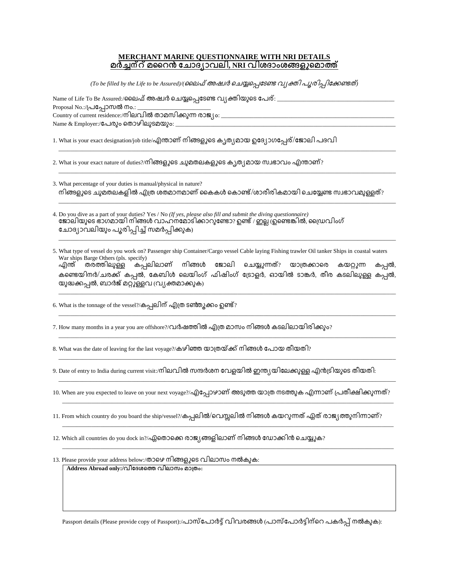## **MERCHANT MARINE QUESTIONNAIRE WITH NRI DETAILS** <u>മർചന്റ് മറൈൻ ചോദ്യാവലി, NRI വിശദാംശങ്ങളുമൊത്ത്</u>

*(To be filled by the Life to be Assured)/( )*

Name of Life To Be Assured:/ലൈഫ് അഷ്വർ ചെയ്യപ്പെടേണ്ട വ്യക്തിയുടെ പേര്:

Proposal No.:/പ്രപ്പോസൽ നം.:

Country of current residence:/നിലവിൽ താമസിക്കുന്ന രാജ്യം:

Name & Employer:/പേരും തൊഴിലുടമയും:

1. What is your exact designation/job title/എന്താണ് നിങ്ങളുടെ കൃത്യമായ ഉദ്യോഗപ്പേര്/ജോലി പദവി

2. What is your exact nature of duties?/നിങ്ങളുടെ ചുമതലകളുടെ ക്യത്യമായ സ്ഥഭാവം എന്താണ്?

3. What percentage of your duties is manual/physical in nature? നിങ്ങളുടെ ചുമതലകളിൽ എത്ര ശതമാനമാണ് കൈകൾ കൊണ്ട്/ശാരീരികമായി ചെയ്യേണ്ട സ്വഭാവമുള്ളത്?

\_\_\_\_\_\_\_\_\_\_\_\_\_\_\_\_\_\_\_\_\_\_\_\_\_\_\_\_\_\_\_\_\_\_\_\_\_\_\_\_\_\_\_\_\_\_\_\_\_\_\_\_\_\_\_\_\_\_\_\_\_\_\_\_\_\_\_\_\_\_\_\_\_\_\_\_\_\_\_\_\_\_\_\_\_\_\_\_\_\_\_\_\_\_\_\_\_\_\_\_\_\_\_\_\_\_\_\_\_\_\_\_\_\_\_

\_\_\_\_\_\_\_\_\_\_\_\_\_\_\_\_\_\_\_\_\_\_\_\_\_\_\_\_\_\_\_\_\_\_\_\_\_\_\_\_\_\_\_\_\_\_\_\_\_\_\_\_\_\_\_\_\_\_\_\_\_\_\_\_\_\_\_\_\_\_\_\_\_\_\_\_\_\_\_\_\_\_\_\_\_\_\_\_\_\_\_\_\_\_\_\_\_\_\_\_\_\_\_\_\_\_\_\_\_\_\_\_\_\_\_

\_\_\_\_\_\_\_\_\_\_\_\_\_\_\_\_\_\_\_\_\_\_\_\_\_\_\_\_\_\_\_\_\_\_\_\_\_\_\_\_\_\_\_\_\_\_\_\_\_\_\_\_\_\_\_\_\_\_\_\_\_\_\_\_\_\_\_\_\_\_\_\_\_\_\_\_\_\_\_\_\_\_\_\_\_\_\_\_\_\_\_\_\_\_\_\_\_\_\_\_\_\_\_\_\_\_\_\_\_\_\_\_\_\_\_

\_\_\_\_\_\_\_\_\_\_\_\_\_\_\_\_\_\_\_\_\_\_\_\_\_\_\_\_\_\_\_\_\_\_\_\_\_\_\_\_\_\_\_\_\_\_\_\_\_\_\_\_\_\_\_\_\_\_\_\_\_\_\_\_\_\_\_\_\_\_\_\_\_\_\_\_\_\_\_\_\_\_\_\_\_\_\_\_\_\_\_\_\_\_\_\_\_\_\_\_\_\_\_\_\_\_\_\_\_\_\_\_\_\_\_

4. Do you dive as a part of your duties? Yes / No *(If yes, please also fill and submit the diving questionnaire)* ജോലിയുടെ ഭാഗമായി നിങ്ങൾ വാഹനമോടിക്കാറുണ്ടോ? ഉണ്ട് / ഇല്ല (ഉണ്ടെങ്കിൽ, ഡ്രൈവിംഗ് ചോദ്യാവലിയും പൂരിപ്പിച്ച് സമർപ്പിക്കുക)

5. What type of vessel do you work on? Passenger ship Container/Cargo vessel Cable laying Fishing trawler Oil tanker Ships in coastal waters War ships Barge Others (pls. specify)<br>എന്ത് തരത്തിലൂള്ള കപ .<br>` കപ്പലിലാണ് നിങ്ങൾ ജോലി ചെയ്യുന്നത്? യാത്രക്കാരെ കയറ്റുന്ന കപ്പൽ, കണ്ടെയിനർ/ചരക്ക് കപ്പൽ, കേബിൾ ലെയിംഗ് ഫിഷിംഗ് ട്രോളർ, ഓയിൽ ടാങ്കർ, തീര കടലിലുള്ള കപ്പൽ, യുദ്ധക്കപ്പൽ, ബാർജ് മറ്റുള്ളവ (വ്യക്തമാക്കുക)

\_\_\_\_\_\_\_\_\_\_\_\_\_\_\_\_\_\_\_\_\_\_\_\_\_\_\_\_\_\_\_\_\_\_\_\_\_\_\_\_\_\_\_\_\_\_\_\_\_\_\_\_\_\_\_\_\_\_\_\_\_\_\_\_\_\_\_\_\_\_\_\_\_\_\_\_\_\_\_\_\_\_\_\_\_\_\_\_\_\_\_\_\_\_\_\_\_\_\_\_\_\_\_\_\_\_\_\_\_\_\_\_\_\_\_

\_\_\_\_\_\_\_\_\_\_\_\_\_\_\_\_\_\_\_\_\_\_\_\_\_\_\_\_\_\_\_\_\_\_\_\_\_\_\_\_\_\_\_\_\_\_\_\_\_\_\_\_\_\_\_\_\_\_\_\_\_\_\_\_\_\_\_\_\_\_\_\_\_\_\_\_\_\_\_\_\_\_\_\_\_\_\_\_\_\_\_\_\_\_\_\_\_\_\_\_\_\_\_\_\_\_\_\_\_\_\_\_\_\_\_

\_\_\_\_\_\_\_\_\_\_\_\_\_\_\_\_\_\_\_\_\_\_\_\_\_\_\_\_\_\_\_\_\_\_\_\_\_\_\_\_\_\_\_\_\_\_\_\_\_\_\_\_\_\_\_\_\_\_\_\_\_\_\_\_\_\_\_\_\_\_\_\_\_\_\_\_\_\_\_\_\_\_\_\_\_\_\_\_\_\_\_\_\_\_\_\_\_\_\_\_\_\_\_\_\_\_\_\_\_\_\_\_\_\_\_

\_\_\_\_\_\_\_\_\_\_\_\_\_\_\_\_\_\_\_\_\_\_\_\_\_\_\_\_\_\_\_\_\_\_\_\_\_\_\_\_\_\_\_\_\_\_\_\_\_\_\_\_\_\_\_\_\_\_\_\_\_\_\_\_\_\_\_\_\_\_\_\_\_\_\_\_\_\_\_\_\_\_\_\_\_\_\_\_\_\_\_\_\_\_\_\_\_\_\_\_\_\_\_\_\_\_\_\_\_\_\_\_\_\_\_

\_\_\_\_\_\_\_\_\_\_\_\_\_\_\_\_\_\_\_\_\_\_\_\_\_\_\_\_\_\_\_\_\_\_\_\_\_\_\_\_\_\_\_\_\_\_\_\_\_\_\_\_\_\_\_\_\_\_\_\_\_\_\_\_\_\_\_\_\_\_\_\_\_\_\_\_\_\_\_\_\_\_\_\_\_\_\_\_\_\_\_\_\_\_\_\_\_\_\_\_\_\_\_\_\_\_\_\_\_\_\_\_\_\_\_

\_\_\_\_\_\_\_\_\_\_\_\_\_\_\_\_\_\_\_\_\_\_\_\_\_\_\_\_\_\_\_\_\_\_\_\_\_\_\_\_\_\_\_\_\_\_\_\_\_\_\_\_\_\_\_\_\_\_\_\_\_\_\_\_\_\_\_\_\_\_\_\_\_\_\_\_\_\_\_\_\_\_\_\_\_\_\_\_\_\_\_\_\_\_\_\_\_\_\_\_\_\_\_\_\_\_\_\_\_\_\_\_\_

\_\_\_\_\_\_\_\_\_\_\_\_\_\_\_\_\_\_\_\_\_\_\_\_\_\_\_\_\_\_\_\_\_\_\_\_\_\_\_\_\_\_\_\_\_\_\_\_\_\_\_\_\_\_\_\_\_\_\_\_\_\_\_\_\_\_\_\_\_\_\_\_\_\_\_\_\_\_\_\_\_\_\_\_\_\_\_\_\_\_\_\_\_\_\_\_\_\_\_\_\_\_\_\_\_\_\_\_\_\_\_\_\_

\_\_\_\_\_\_\_\_\_\_\_\_\_\_\_\_\_\_\_\_\_\_\_\_\_\_\_\_\_\_\_\_\_\_\_\_\_\_\_\_\_\_\_\_\_\_\_\_\_\_\_\_\_\_\_\_\_\_\_\_\_\_\_\_\_\_\_\_\_\_\_\_\_\_\_\_\_\_\_\_\_\_\_\_\_\_\_\_\_\_\_\_\_\_\_\_\_\_\_\_\_\_\_\_\_\_\_\_\_\_\_\_\_

6. What is the tonnage of the vessel?/കപ്പലിന് എത്ര ടൺതുക്കം ഉണ്ട്?

7. How many months in a year you are offshore?/വർഷത്തിൽ എത്ര മാസം നിങ്ങൾ കടലിലായിരിക്കും?

8. What was the date of leaving for the last voyage?/കഴിഞ്ഞ യാത്രയ്ക്ക് നിങ്ങൾ പോയ തീയതി?

9. Date of entry to India during current visit:/നിലവിൽ സന്ദർശന വേളയിൽ ഇന്ത്യയിലേക്കുള്ള എൻട്രിയുടെ തീയതി:

- 10. When are you expected to leave on your next voyage?/എപ്പോഴാണ് അടുത്ത യാത്ര നടത്തുക എന്നാണ് പ്രതീക്ഷിക്കുന്നത്?
- 11. From which country do you board the ship/vessel?/കപ്പലിൽ/വെസ്സലിൽ നിങ്ങൾ കയറുന്നത് ഏത് രാജ്യത്തുനിന്നാണ്?
- 12. Which all countries do you dock in?/ഏതൊക്കെ രാജ്യങ്ങളിലാണ് നിങ്ങൾ ഡോക്കിൻ ചെയ്യുക?

13. Please provide your address below:/താഴെ നിങ്ങളുടെ വിലാസം നൽകുക:  $Address Abroad only:\n\sqrt{\Omega}$ ദേശത്തെ വിലാസം മാത്രം:

Passport details (Please provide copy of Passport):/പാസ്പോർട്ട് വിവരങ്ങൾ (പാസ്പോർട്ടിന്റെ പകർപ്പ് നൽകുക):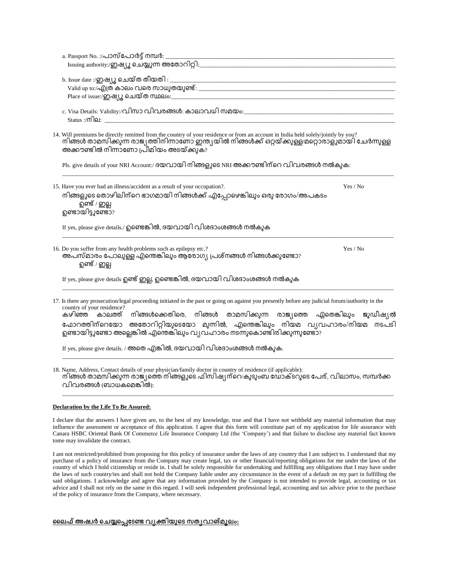| 14. Will premiums be directly remitted from the country of your residence or from an account in India held solely/jointly by you?<br>നിങ്ങൾ താമസിക്കുന്ന രാജ്യത്തിനിന്നാണോ ഇന്ത്യയിൽ നിങ്ങൾക്ക് ഒറ്റയ്ക്കുള്ള/മറ്റൊരാളുമായി ചേർന്നുള്ള<br>അക്കൗണ്ടിൽ നിന്നാണോ പ്രീമിയം അടയ്ക്കുക? |          |
|-----------------------------------------------------------------------------------------------------------------------------------------------------------------------------------------------------------------------------------------------------------------------------------|----------|
| Pls. give details of your NRI Account:/ ദയവായി നിങ്ങളുടെ NRI അക്കൗണ്ടിന്റെ വിവരങ്ങൾ നൽകുക:                                                                                                                                                                                        |          |
| 15. Have you ever had an illness/accident as a result of your occupation?.<br>നിങ്ങളുടെ തൊഴിലിന്റെ ഭാഗമായി നിങ്ങൾക്ക് എപ്പോഴെങ്കിലും ഒരു രോഗം/അപകടം<br>ഉണ്ട് / ഇല്ല<br>ഉണ്ടായിട്ടുണ്ടോ?                                                                                           | Yes / No |
| If yes, please give details./ ഉണ്ടെങ്കിൽ, ദയവായി വിശദാംശങ്ങൾ നൽകുക                                                                                                                                                                                                                |          |
| 16. Do you suffer from any health problems such as epilepsy etc.?<br>അപസ്മാരം പോലുള്ള എന്തെങ്കിലും ആരോഗ്യ പ്രശ്നങ്ങൾ നിങ്ങൾക്കുണ്ടോ?<br>ഉണ്ട് / ഇല്ല                                                                                                                              | Yes / No |
| If yes, please give details ഉണ്ട് ഇല്ല, ഉണ്ടെങ്കിൽ, ദയവായി വിശദാംശങ്ങൾ നൽകുക                                                                                                                                                                                                      |          |
| 17. Is there any prosecution/legal proceeding initiated in the past or going on against you presently before any judicial forum/authority in the<br>country of your residence?<br>കഴിഞ്ഞ കാലത്ത് നിങ്ങൾക്കെതിരെ, നിങ്ങൾ താമസിക്കുന്ന രാജ്യത്തെ ഏതെങ്കിലും ജുഡീഷ്യൽ                |          |

ഫോറത്തിന്റെയോ അതോറിറ്റിയുടെയോ മുന്നിൽ, എന്തെങ്കിലും നിയമ വ്യവഹാരം/നിയമ നടപടി ഉണ്ടായിട്ടുണ്ടോ അല്ലെങ്കിൽ എന്തെങ്കിലും വ്യവഹാരം നടന്നുകൊണ്ടിരിക്കുന്നുണ്ടോ?

\_\_\_\_\_\_\_\_\_\_\_\_\_\_\_\_\_\_\_\_\_\_\_\_\_\_\_\_\_\_\_\_\_\_\_\_\_\_\_\_\_\_\_\_\_\_\_\_\_\_\_\_\_\_\_\_\_\_\_\_\_\_\_\_\_\_\_\_\_\_\_\_\_\_\_\_\_\_\_\_\_\_\_\_\_\_\_\_\_\_\_\_\_\_\_\_\_\_\_\_\_\_\_\_\_\_\_\_\_\_\_\_\_

\_\_\_\_\_\_\_\_\_\_\_\_\_\_\_\_\_\_\_\_\_\_\_\_\_\_\_\_\_\_\_\_\_\_\_\_\_\_\_\_\_\_\_\_\_\_\_\_\_\_\_\_\_\_\_\_\_\_\_\_\_\_\_\_\_\_\_\_\_\_\_\_\_\_\_\_\_\_\_\_\_\_\_\_\_\_\_\_\_\_\_\_\_\_\_\_\_\_\_\_\_\_\_\_\_\_\_\_\_\_\_\_\_

If yes, please give details. / അതെ എങ്കിൽ, ദയവായി വിശദാംശങ്ങൾ നൽകുക.

18. Name, Address, Contact details of your physician/family doctor in country of residence (if applicable): നിങ്ങൾ താമസിക്കുന്ന രാജ്യത്തെ നിങ്ങളുടെ ഫിസിഷ്യന്െകുടുംബ ഡോക്ടറുടെ പേര്, വിലാസം, സമ്പർക്ക വിവരങ്ങൾ ബ്രാധകമെങ്കിൽ):

## **Declaration by the Life To Be Assured:**

I declare that the answers I have given are, to the best of my knowledge, true and that I have not withheld any material information that may influence the assessment or acceptance of this application. I agree that this form will constitute part of my application for life assurance with Canara HSBC Oriental Bank Of Commerce Life Insurance Company Ltd (the 'Company') and that failure to disclose any material fact known tome may invalidate the contract.

I am not restricted/prohibited from proposing for this policy of insurance under the laws of any country that I am subject to. I understand that my purchase of a policy of insurance from the Company may create legal, tax or other financial/reporting obligations for me under the laws of the country of which I hold citizenship or reside in. I shall be solely responsible for undertaking and fulfilling any obligations that I may have under the laws of such country/ies and shall not hold the Company liable under any circumstance in the event of a default on my part in fulfilling the said obligations. I acknowledge and agree that any information provided by the Company is not intended to provide legal, accounting or tax advice and I shall not rely on the same in this regard. I will seek independent professional legal, accounting and tax advice prior to the purchase of the policy of insurance from the Company, where necessary.

ലൈഫ് അഷ്വർ ചെയ്യപ്പെടേണ്ട വ്യക്തിയുടെ സത്യവാങ്മൂലം: